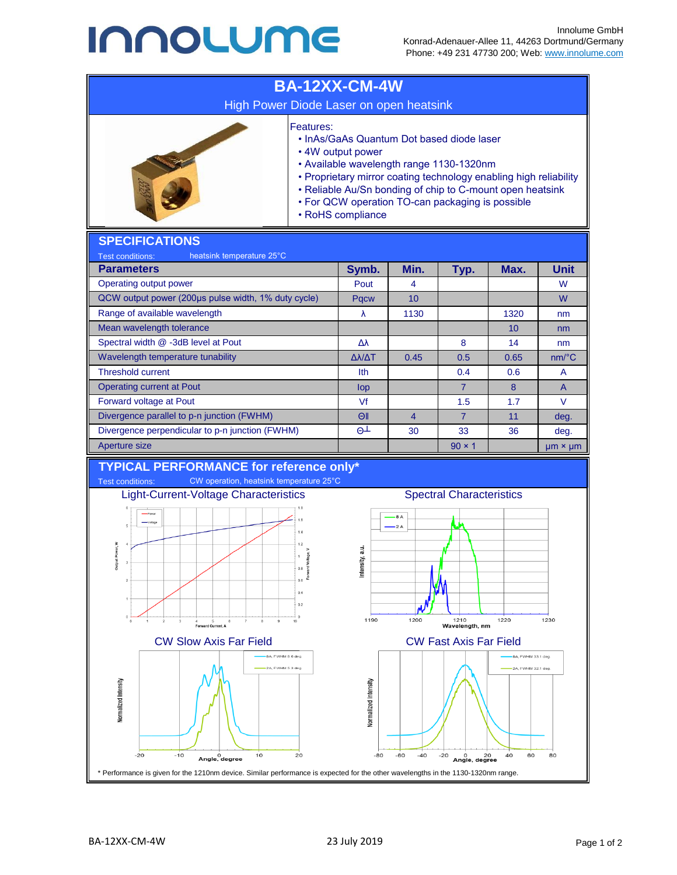## **INNOLUME**